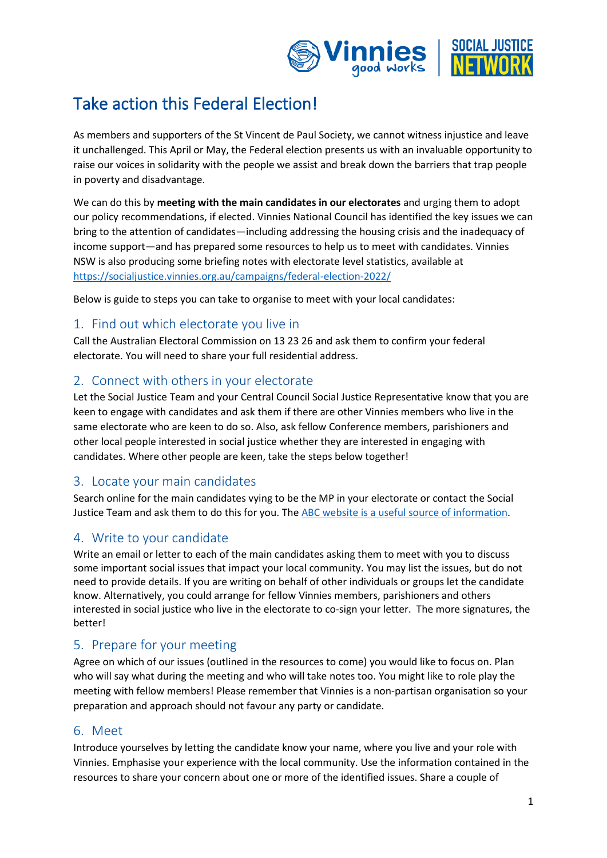

# Take action this Federal Election!

As members and supporters of the St Vincent de Paul Society, we cannot witness injustice and leave it unchallenged. This April or May, the Federal election presents us with an invaluable opportunity to raise our voices in solidarity with the people we assist and break down the barriers that trap people in poverty and disadvantage.

We can do this by **meeting with the main candidates in our electorates** and urging them to adopt our policy recommendations, if elected. Vinnies National Council has identified the key issues we can bring to the attention of candidates—including addressing the housing crisis and the inadequacy of income support—and has prepared some resources to help us to meet with candidates. Vinnies NSW is also producing some briefing notes with electorate level statistics, available at <https://socialjustice.vinnies.org.au/campaigns/federal-election-2022/>

Below is guide to steps you can take to organise to meet with your local candidates:

#### 1. Find out which electorate you live in

Call the Australian Electoral Commission on 13 23 26 and ask them to confirm your federal electorate. You will need to share your full residential address.

### 2. Connect with others in your electorate

Let the Social Justice Team and your Central Council Social Justice Representative know that you are keen to engage with candidates and ask them if there are other Vinnies members who live in the same electorate who are keen to do so. Also, ask fellow Conference members, parishioners and other local people interested in social justice whether they are interested in engaging with candidates. Where other people are keen, take the steps below together!

### 3. Locate your main candidates

Search online for the main candidates vying to be the MP in your electorate or contact the Social Justice Team and ask them to do this for you. Th[e ABC website is a useful source of information.](https://www.abc.net.au/news/elections/federal/2019/guide/pendulum)

### 4. Write to your candidate

Write an email or letter to each of the main candidates asking them to meet with you to discuss some important social issues that impact your local community. You may list the issues, but do not need to provide details. If you are writing on behalf of other individuals or groups let the candidate know. Alternatively, you could arrange for fellow Vinnies members, parishioners and others interested in social justice who live in the electorate to co-sign your letter. The more signatures, the better!

### 5. Prepare for your meeting

Agree on which of our issues (outlined in the resources to come) you would like to focus on. Plan who will say what during the meeting and who will take notes too. You might like to role play the meeting with fellow members! Please remember that Vinnies is a non-partisan organisation so your preparation and approach should not favour any party or candidate.

#### 6. Meet

Introduce yourselves by letting the candidate know your name, where you live and your role with Vinnies. Emphasise your experience with the local community. Use the information contained in the resources to share your concern about one or more of the identified issues. Share a couple of